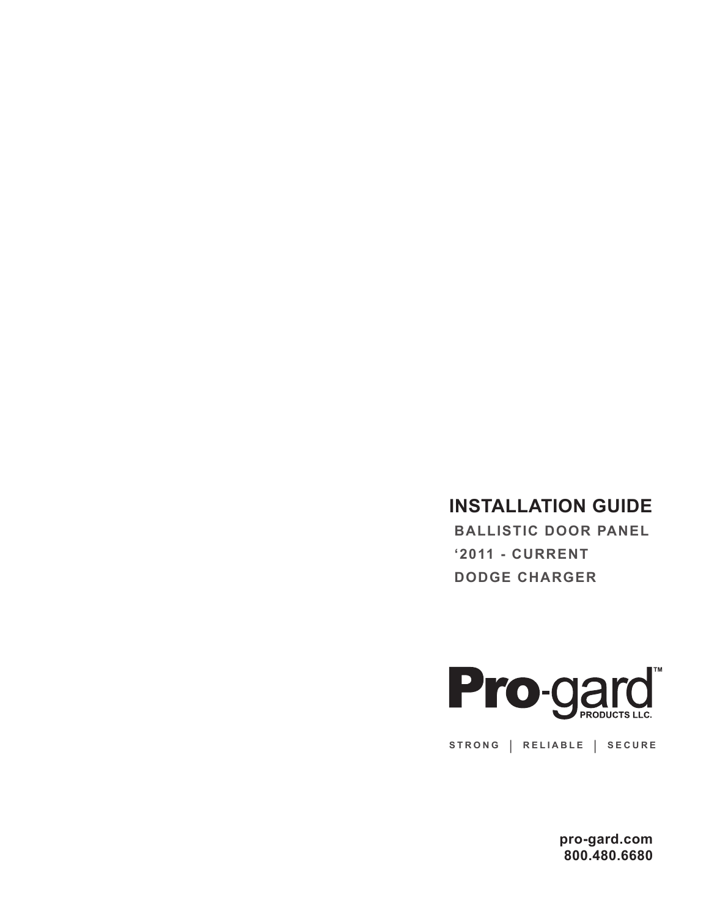## **INSTALLATION GUIDE**

 **BALLISTIC DOOR PANEL '2011 - CURRENT DODGE CHARGER**



**STRONG | RELIABLE | SECURE**

**pro-gard.com 800.480.6680**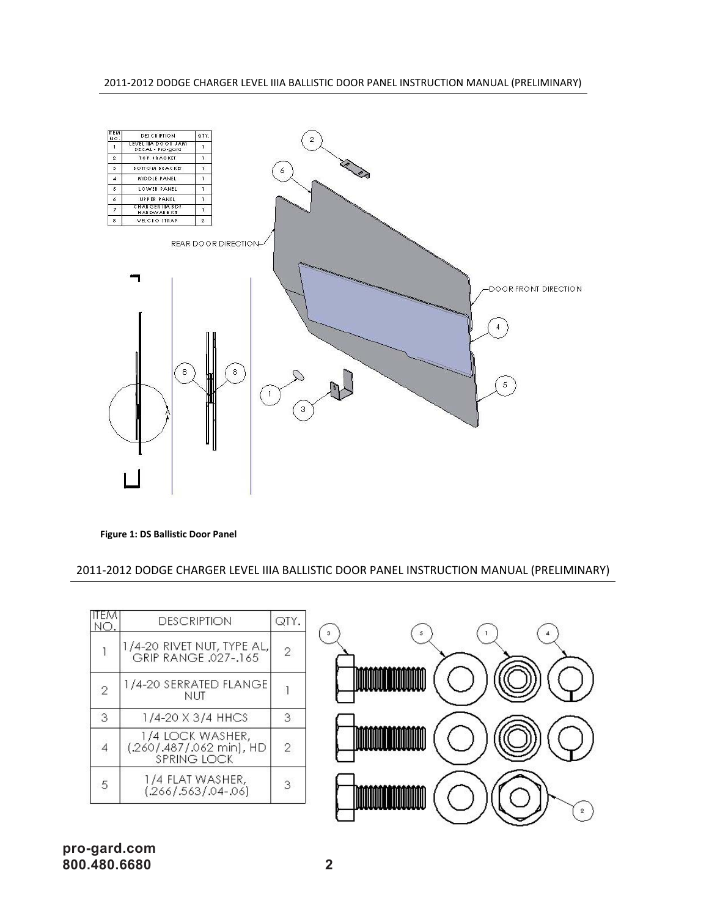2011‐2012 DODGE CHARGER LEVEL IIIA BALLISTIC DOOR PANEL INSTRUCTION MANUAL (PRELIMINARY)



**Figure 1: DS Ballistic Door Panel**

2011‐2012 DODGE CHARGER LEVEL IIIA BALLISTIC DOOR PANEL INSTRUCTION MANUAL (PRELIMINARY)

| 11 E.M<br>NO.  | <b>DESCRIPTION</b>                                                 | QTY.           |  |
|----------------|--------------------------------------------------------------------|----------------|--|
|                | 1/4-20 RIVET NUT, TYPE AL,<br>GRIP RANGE .027-.165                 | $\overline{2}$ |  |
| $\overline{2}$ | 1/4-20 SERRATED FLANGE <br><b>NUT</b>                              |                |  |
| 3              | 1/4-20 X 3/4 HHCS                                                  | 3              |  |
| $\overline{4}$ | 1/4 LOCK WASHER,<br>(.260/.487/.062 min), HD<br><b>SPRING LOCK</b> | $\overline{2}$ |  |
| 5              | 1/4 FLAT WASHER,<br>$(.266/.563/.04-.06)$                          | 3              |  |
|                |                                                                    |                |  |

## **pro-gard.com 800.480.6680 2 Figure 2: Hardware Kit**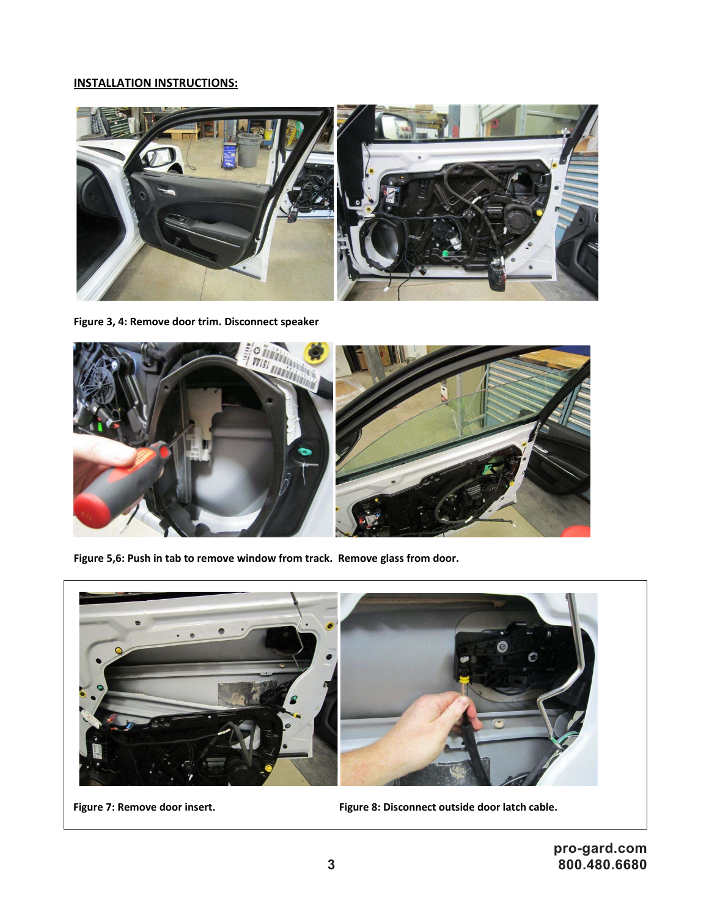## **INSTALLATION INSTRUCTIONS:**



**Figure 3, 4: Remove door trim. Disconnect speaker** 



**Figure 5,6: Push in tab to remove window from track. Remove glass from door.**



**Figure 7: Remove door insert. Figure 8: Disconnect outside door latch cable.**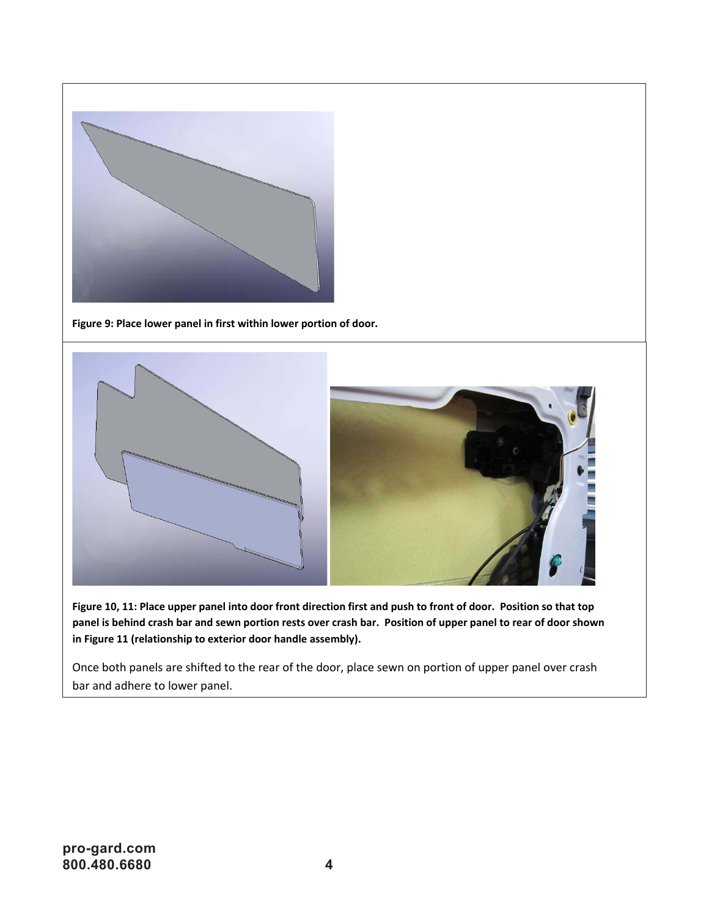

Figure 9: Place lower panel in first within lower portion of door.



Figure 10, 11: Place upper panel into door front direction first and push to front of door. Position so that top panel is behind crash bar and sewn portion rests over crash bar. Position of upper panel to rear of door shown **in Figure 11 (relationship to exterior door handle assembly).**

Once both panels are shifted to the rear of the door, place sewn on portion of upper panel over crash bar and adhere to lower panel.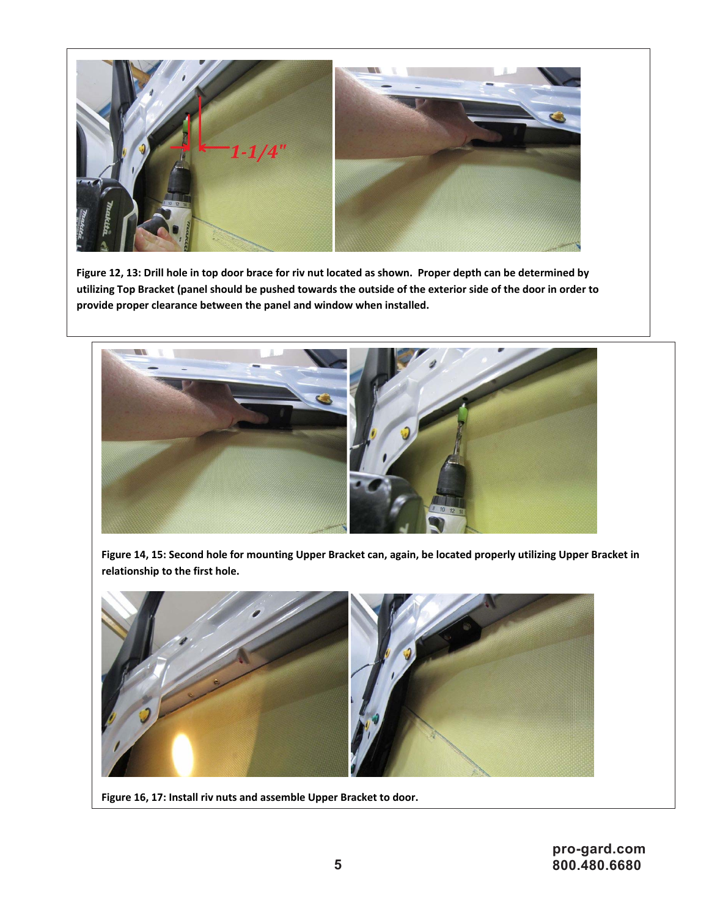

Figure 12, 13: Drill hole in top door brace for riv nut located as shown. Proper depth can be determined by utilizing Top Bracket (panel should be pushed towards the outside of the exterior side of the door in order to **provide proper clearance between the panel and window when installed.**



Figure 14, 15: Second hole for mounting Upper Bracket can, again, be located properly utilizing Upper Bracket in **relationship to the first hole.**



**Figure 16, 17: Install riv nuts and assemble Upper Bracket to door.**